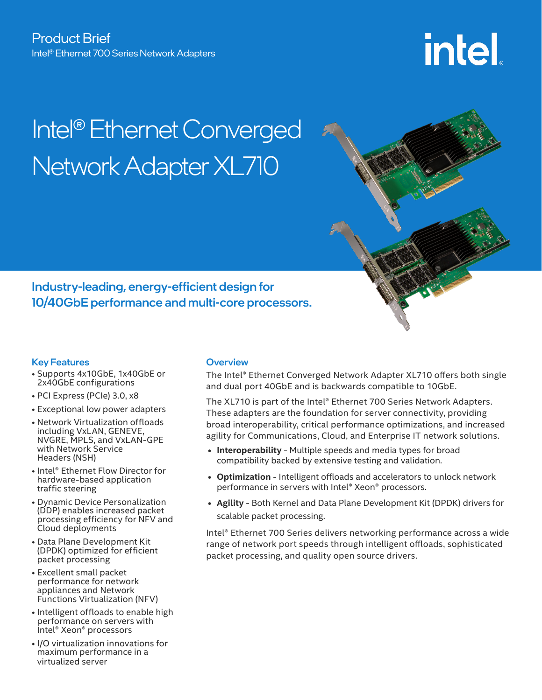# intel

# Intel® Ethernet Converged Network Adapter XL710



Industry-leading, energy-efficient design for 10/40GbE performance and multi-core processors.

## Key Features

- Supports 4x10GbE, 1x40GbE or 2x40GbE configurations
- PCI Express (PCIe) 3.0, x8
- Exceptional low power adapters
- Network Virtualization offloads including VxLAN, GENEVE, NVGRE, MPLS, and VxLAN-GPE with Network Service Headers (NSH)
- Intel® Ethernet Flow Director for hardware-based application traffic steering
- Dynamic Device Personalization (DDP) enables increased packet processing efficiency for NFV and Cloud deployments
- Data Plane Development Kit (DPDK) optimized for efficient packet processing
- Excellent small packet performance for network appliances and Network Functions Virtualization (NFV)
- Intelligent offloads to enable high performance on servers with Intel® Xeon® processors
- I/O virtualization innovations for maximum performance in a virtualized server

# **Overview**

The Intel® Ethernet Converged Network Adapter XL710 offers both single and dual port 40GbE and is backwards compatible to 10GbE.

The XL710 is part of the Intel® Ethernet 700 Series Network Adapters. These adapters are the foundation for server connectivity, providing broad interoperability, critical performance optimizations, and increased agility for Communications, Cloud, and Enterprise IT network solutions.

- **• Interoperability** Multiple speeds and media types for broad compatibility backed by extensive testing and validation.
- **• Optimization** Intelligent offloads and accelerators to unlock network performance in servers with Intel® Xeon® processors.
- **• Agility** Both Kernel and Data Plane Development Kit (DPDK) drivers for scalable packet processing.

Intel® Ethernet 700 Series delivers networking performance across a wide range of network port speeds through intelligent offloads, sophisticated packet processing, and quality open source drivers.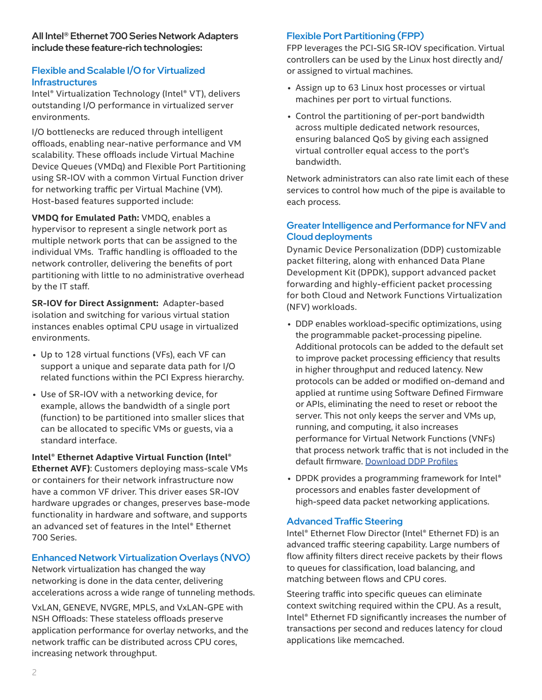#### All Intel® Ethernet 700 Series Network Adapters include these feature-rich technologies:

# Flexible and Scalable I/O for Virtualized Infrastructures

Intel® Virtualization Technology (Intel® VT), delivers outstanding I/O performance in virtualized server environments.

I/O bottlenecks are reduced through intelligent offloads, enabling near-native performance and VM scalability. These offloads include Virtual Machine Device Queues (VMDq) and Flexible Port Partitioning using SR-IOV with a common Virtual Function driver for networking traffic per Virtual Machine (VM). Host-based features supported include:

**VMDQ for Emulated Path:** VMDQ, enables a hypervisor to represent a single network port as multiple network ports that can be assigned to the individual VMs. Traffic handling is offloaded to the network controller, delivering the benefits of port partitioning with little to no administrative overhead by the IT staff.

**SR-IOV for Direct Assignment:** Adapter-based isolation and switching for various virtual station instances enables optimal CPU usage in virtualized environments.

- Up to 128 virtual functions (VFs), each VF can support a unique and separate data path for I/O related functions within the PCI Express hierarchy.
- Use of SR-IOV with a networking device, for example, allows the bandwidth of a single port (function) to be partitioned into smaller slices that can be allocated to specific VMs or guests, via a standard interface.

**Intel® Ethernet Adaptive Virtual Function (Intel® Ethernet AVF)**: Customers deploying mass-scale VMs or containers for their network infrastructure now have a common VF driver. This driver eases SR-IOV hardware upgrades or changes, preserves base-mode functionality in hardware and software, and supports an advanced set of features in the Intel® Ethernet 700 Series.

## Enhanced Network Virtualization Overlays (NVO)

Network virtualization has changed the way networking is done in the data center, delivering accelerations across a wide range of tunneling methods.

VxLAN, GENEVE, NVGRE, MPLS, and VxLAN-GPE with NSH Offloads: These stateless offloads preserve application performance for overlay networks, and the network traffic can be distributed across CPU cores, increasing network throughput.

# Flexible Port Partitioning (FPP)

FPP leverages the PCI-SIG SR-IOV specification. Virtual controllers can be used by the Linux host directly and/ or assigned to virtual machines.

- Assign up to 63 Linux host processes or virtual machines per port to virtual functions.
- Control the partitioning of per-port bandwidth across multiple dedicated network resources, ensuring balanced QoS by giving each assigned virtual controller equal access to the port's bandwidth.

Network administrators can also rate limit each of these services to control how much of the pipe is available to each process.

## Greater Intelligence and Performance for NFV and Cloud deployments

Dynamic Device Personalization (DDP) customizable packet filtering, along with enhanced Data Plane Development Kit (DPDK), support advanced packet forwarding and highly-efficient packet processing for both Cloud and Network Functions Virtualization (NFV) workloads.

- DDP enables workload-specific optimizations, using the programmable packet-processing pipeline. Additional protocols can be added to the default set to improve packet processing efficiency that results in higher throughput and reduced latency. New protocols can be added or modified on-demand and applied at runtime using Software Defined Firmware or APIs, eliminating the need to reset or reboot the server. This not only keeps the server and VMs up, running, and computing, it also increases performance for Virtual Network Functions (VNFs) that process network traffic that is not included in the default firmware. [Download DDP Profiles](https://www.intel.com/content/www/us/en/search.html?query=DDP&keyword=Fortville%20drivers&topicarea=Downloads&filters=Download%20Center)
- DPDK provides a programming framework for Intel<sup>®</sup> processors and enables faster development of high-speed data packet networking applications.

## Advanced Traffic Steering

Intel® Ethernet Flow Director (Intel® Ethernet FD) is an advanced traffic steering capability. Large numbers of flow affinity filters direct receive packets by their flows to queues for classification, load balancing, and matching between flows and CPU cores.

Steering traffic into specific queues can eliminate context switching required within the CPU. As a result, Intel® Ethernet FD significantly increases the number of transactions per second and reduces latency for cloud applications like memcached.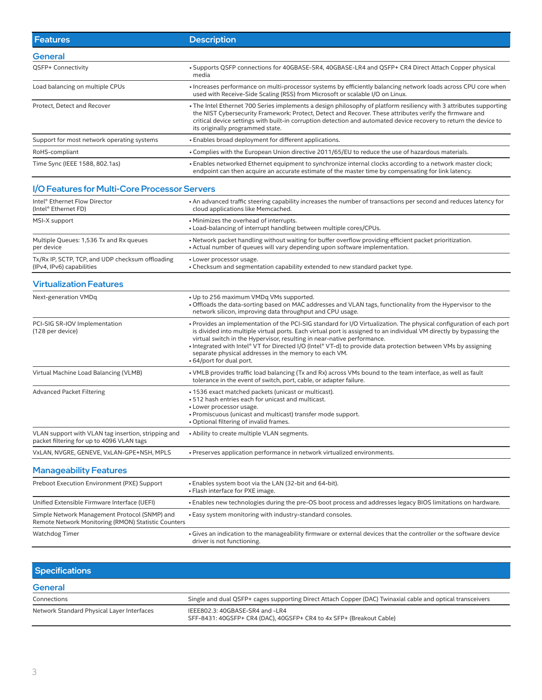| <b>Features</b>                                                               | <b>Description</b>                                                                                                                                                                                                                                                                                                                                                                                                                                                                                |  |
|-------------------------------------------------------------------------------|---------------------------------------------------------------------------------------------------------------------------------------------------------------------------------------------------------------------------------------------------------------------------------------------------------------------------------------------------------------------------------------------------------------------------------------------------------------------------------------------------|--|
| <b>General</b>                                                                |                                                                                                                                                                                                                                                                                                                                                                                                                                                                                                   |  |
| QSFP+ Connectivity                                                            | • Supports QSFP connections for 40GBASE-SR4, 40GBASE-LR4 and QSFP+ CR4 Direct Attach Copper physical<br>media                                                                                                                                                                                                                                                                                                                                                                                     |  |
| Load balancing on multiple CPUs                                               | • Increases performance on multi-processor systems by efficiently balancing network loads across CPU core when<br>used with Receive-Side Scaling (RSS) from Microsoft or scalable I/O on Linux.                                                                                                                                                                                                                                                                                                   |  |
| Protect, Detect and Recover                                                   | • The Intel Ethernet 700 Series implements a design philosophy of platform resiliency with 3 attributes supporting<br>the NIST Cybersecurity Framework: Protect, Detect and Recover. These attributes verify the firmware and<br>critical device settings with built-in corruption detection and automated device recovery to return the device to<br>its originally programmed state.                                                                                                            |  |
| Support for most network operating systems                                    | . Enables broad deployment for different applications.                                                                                                                                                                                                                                                                                                                                                                                                                                            |  |
| RoHS-compliant                                                                | . Complies with the European Union directive 2011/65/EU to reduce the use of hazardous materials.                                                                                                                                                                                                                                                                                                                                                                                                 |  |
| Time Sync (IEEE 1588, 802.1as)                                                | · Enables networked Ethernet equipment to synchronize internal clocks according to a network master clock;<br>endpoint can then acquire an accurate estimate of the master time by compensating for link latency.                                                                                                                                                                                                                                                                                 |  |
| I/O Features for Multi-Core Processor Servers                                 |                                                                                                                                                                                                                                                                                                                                                                                                                                                                                                   |  |
| Intel <sup>®</sup> Ethernet Flow Director<br>(Intel® Ethernet FD)             | • An advanced traffic steering capability increases the number of transactions per second and reduces latency for<br>cloud applications like Memcached.                                                                                                                                                                                                                                                                                                                                           |  |
| MSI-X support                                                                 | • Minimizes the overhead of interrupts.<br>. Load-balancing of interrupt handling between multiple cores/CPUs.                                                                                                                                                                                                                                                                                                                                                                                    |  |
| Multiple Queues: 1,536 Tx and Rx queues<br>per device                         | . Network packet handling without waiting for buffer overflow providing efficient packet prioritization.<br>• Actual number of queues will vary depending upon software implementation.                                                                                                                                                                                                                                                                                                           |  |
| Tx/Rx IP, SCTP, TCP, and UDP checksum offloading<br>(IPv4, IPv6) capabilities | • Lower processor usage.<br>. Checksum and segmentation capability extended to new standard packet type.                                                                                                                                                                                                                                                                                                                                                                                          |  |
| <b>Virtualization Features</b>                                                |                                                                                                                                                                                                                                                                                                                                                                                                                                                                                                   |  |
| Next-generation VMDq                                                          | . Up to 256 maximum VMDq VMs supported.<br>. Offloads the data-sorting based on MAC addresses and VLAN tags, functionality from the Hypervisor to the<br>network silicon, improving data throughput and CPU usage.                                                                                                                                                                                                                                                                                |  |
| PCI-SIG SR-IOV Implementation<br>(128 per device)                             | . Provides an implementation of the PCI-SIG standard for I/O Virtualization. The physical configuration of each port<br>is divided into multiple virtual ports. Each virtual port is assigned to an individual VM directly by bypassing the<br>virtual switch in the Hypervisor, resulting in near-native performance.<br>• Integrated with Intel® VT for Directed I/O (Intel® VT-d) to provide data protection between VMs by assigning<br>separate physical addresses in the memory to each VM. |  |

| Advanced Packet Filtering                                                                        | • 1536 exact matched packets (unicast or multicast).<br>• 512 hash entries each for unicast and multicast.<br>• Lower processor usage.<br>. Promiscuous (unicast and multicast) transfer mode support.<br>• Optional filtering of invalid frames. |
|--------------------------------------------------------------------------------------------------|---------------------------------------------------------------------------------------------------------------------------------------------------------------------------------------------------------------------------------------------------|
| VLAN support with VLAN tag insertion, stripping and<br>packet filtering for up to 4096 VLAN tags | • Ability to create multiple VLAN segments.                                                                                                                                                                                                       |
| VxLAN, NVGRE, GENEVE, VxLAN-GPE+NSH, MPLS                                                        | . Preserves application performance in network virtualized environments.                                                                                                                                                                          |

Virtual Machine Load Balancing (VLMB) • VMLB provides traffic load balancing (Tx and Rx) across VMs bound to the team interface, as well as fault

tolerance in the event of switch, port, cable, or adapter failure.

• 64/port for dual port.

# Manageability Features

| Preboot Execution Environment (PXE) Support                                                          | • Enables system boot via the LAN (32-bit and 64-bit).<br>• Flash interface for PXE image.                                                       |
|------------------------------------------------------------------------------------------------------|--------------------------------------------------------------------------------------------------------------------------------------------------|
| Unified Extensible Firmware Interface (UEFI)                                                         | . Enables new technologies during the pre-OS boot process and addresses legacy BIOS limitations on hardware.                                     |
| Simple Network Management Protocol (SNMP) and<br>Remote Network Monitoring (RMON) Statistic Counters | • Easy system monitoring with industry-standard consoles.                                                                                        |
| <b>Watchdog Timer</b>                                                                                | • Gives an indication to the manageability firmware or external devices that the controller or the software device<br>driver is not functioning. |

| <b>Specifications</b>                      |                                                                                                            |
|--------------------------------------------|------------------------------------------------------------------------------------------------------------|
| <b>General</b>                             |                                                                                                            |
| Connections                                | Single and dual QSFP+ cages supporting Direct Attach Copper (DAC) Twinaxial cable and optical transceivers |
| Network Standard Physical Layer Interfaces | IEEE802.3: 40GBASE-SR4 and -LR4<br>SFF-8431: 40GSFP+ CR4 (DAC), 40GSFP+ CR4 to 4x SFP+ (Breakout Cable)    |